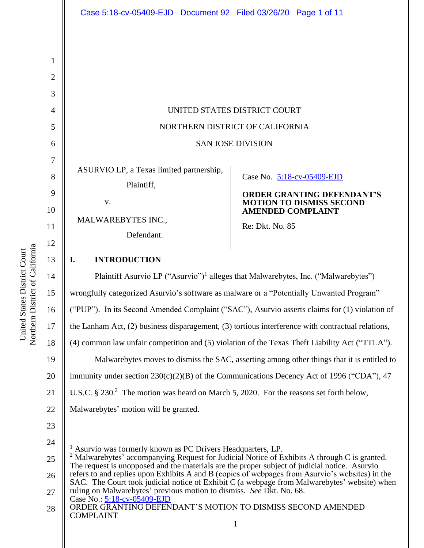Northern District of California Northern District of California United States District Court United States District Court

|                               | Case 5:18-cv-05409-EJD  Document 92  Filed 03/26/20  Page 1 of 11                                                                                                                                                                                                                                                                                                                                                                                                                                                                                                                             |                                                                                                                                                   |
|-------------------------------|-----------------------------------------------------------------------------------------------------------------------------------------------------------------------------------------------------------------------------------------------------------------------------------------------------------------------------------------------------------------------------------------------------------------------------------------------------------------------------------------------------------------------------------------------------------------------------------------------|---------------------------------------------------------------------------------------------------------------------------------------------------|
| 1<br>$\overline{2}$           |                                                                                                                                                                                                                                                                                                                                                                                                                                                                                                                                                                                               |                                                                                                                                                   |
| 3<br>4                        | UNITED STATES DISTRICT COURT                                                                                                                                                                                                                                                                                                                                                                                                                                                                                                                                                                  |                                                                                                                                                   |
| 5                             | NORTHERN DISTRICT OF CALIFORNIA                                                                                                                                                                                                                                                                                                                                                                                                                                                                                                                                                               |                                                                                                                                                   |
| 6                             | <b>SAN JOSE DIVISION</b>                                                                                                                                                                                                                                                                                                                                                                                                                                                                                                                                                                      |                                                                                                                                                   |
| 7<br>8<br>9<br>10<br>11<br>12 | ASURVIO LP, a Texas limited partnership,<br>Plaintiff,<br>V.<br>MALWAREBYTES INC.,<br>Defendant.<br>I.                                                                                                                                                                                                                                                                                                                                                                                                                                                                                        | Case No. 5:18-cv-05409-EJD<br><b>ORDER GRANTING DEFENDANT'S</b><br><b>MOTION TO DISMISS SECOND</b><br><b>AMENDED COMPLAINT</b><br>Re: Dkt. No. 85 |
| 13                            | <b>INTRODUCTION</b><br>Plaintiff Asurvio LP ("Asurvio") <sup>1</sup> alleges that Malwarebytes, Inc. ("Malwarebytes")                                                                                                                                                                                                                                                                                                                                                                                                                                                                         |                                                                                                                                                   |
| 14<br>15                      | wrongfully categorized Asurvio's software as malware or a "Potentially Unwanted Program"                                                                                                                                                                                                                                                                                                                                                                                                                                                                                                      |                                                                                                                                                   |
| 16                            | ("PUP"). In its Second Amended Complaint ("SAC"), Asurvio asserts claims for (1) violation of                                                                                                                                                                                                                                                                                                                                                                                                                                                                                                 |                                                                                                                                                   |
| 17                            | the Lanham Act, (2) business disparagement, (3) tortious interference with contractual relations,                                                                                                                                                                                                                                                                                                                                                                                                                                                                                             |                                                                                                                                                   |
| 18                            | (4) common law unfair competition and (5) violation of the Texas Theft Liability Act ("TTLA").                                                                                                                                                                                                                                                                                                                                                                                                                                                                                                |                                                                                                                                                   |
| 19                            | Malwarebytes moves to dismiss the SAC, asserting among other things that it is entitled to                                                                                                                                                                                                                                                                                                                                                                                                                                                                                                    |                                                                                                                                                   |
| 20                            | immunity under section $230(c)(2)(B)$ of the Communications Decency Act of 1996 ("CDA"), 47                                                                                                                                                                                                                                                                                                                                                                                                                                                                                                   |                                                                                                                                                   |
| 21                            | U.S.C. § 230. <sup>2</sup> The motion was heard on March 5, 2020. For the reasons set forth below,                                                                                                                                                                                                                                                                                                                                                                                                                                                                                            |                                                                                                                                                   |
| 22                            | Malwarebytes' motion will be granted.                                                                                                                                                                                                                                                                                                                                                                                                                                                                                                                                                         |                                                                                                                                                   |
| 23                            |                                                                                                                                                                                                                                                                                                                                                                                                                                                                                                                                                                                               |                                                                                                                                                   |
| 24<br>25<br>26<br>27          | <sup>1</sup> Asurvio was formerly known as PC Drivers Headquarters, LP.<br><sup>2</sup> Malwarebytes' accompanying Request for Judicial Notice of Exhibits A through C is granted.<br>The request is unopposed and the materials are the proper subject of judicial notice. Asurvio<br>refers to and replies upon Exhibits A and B (copies of webpages from Asurvio's websites) in the<br>SAC. The Court took judicial notice of Exhibit C (a webpage from Malwarebytes' website) when<br>ruling on Malwarebytes' previous motion to dismiss. See Dkt. No. 68.<br>Case No.: 5:18-cv-05409-EJD |                                                                                                                                                   |
| 28                            | ORDER GRANTING DEFENDANT'S MOTION TO DISMISS SECOND AMENDED<br><b>COMPLAINT</b><br>$\mathbf{1}$                                                                                                                                                                                                                                                                                                                                                                                                                                                                                               |                                                                                                                                                   |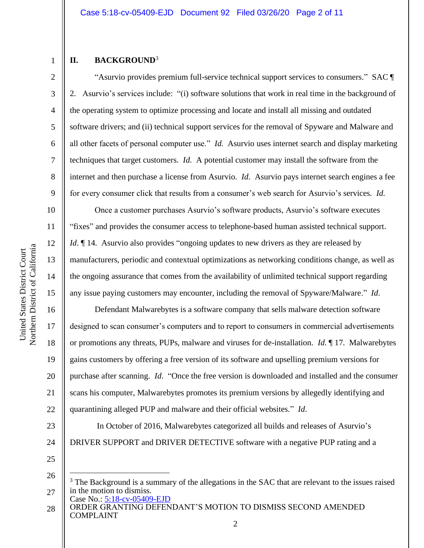# 1 2

3

4

5

6

7

8

9

10

11

12

13

14

15

16

17

18

19

20

21

22

# **II. BACKGROUND**<sup>3</sup>

"Asurvio provides premium full-service technical support services to consumers." SAC ¶ 2. Asurvio's services include: "(i) software solutions that work in real time in the background of the operating system to optimize processing and locate and install all missing and outdated software drivers; and (ii) technical support services for the removal of Spyware and Malware and all other facets of personal computer use." *Id*. Asurvio uses internet search and display marketing techniques that target customers. *Id*. A potential customer may install the software from the internet and then purchase a license from Asurvio. *Id*. Asurvio pays internet search engines a fee for every consumer click that results from a consumer's web search for Asurvio's services. *Id*.

Once a customer purchases Asurvio's software products, Asurvio's software executes "fixes" and provides the consumer access to telephone-based human assisted technical support. *Id*. If 14. Asurvio also provides "ongoing updates to new drivers as they are released by manufacturers, periodic and contextual optimizations as networking conditions change, as well as the ongoing assurance that comes from the availability of unlimited technical support regarding any issue paying customers may encounter, including the removal of Spyware/Malware." *Id*.

Defendant Malwarebytes is a software company that sells malware detection software designed to scan consumer's computers and to report to consumers in commercial advertisements or promotions any threats, PUPs, malware and viruses for de-installation. *Id*. ¶ 17. Malwarebytes gains customers by offering a free version of its software and upselling premium versions for purchase after scanning. *Id*. "Once the free version is downloaded and installed and the consumer scans his computer, Malwarebytes promotes its premium versions by allegedly identifying and quarantining alleged PUP and malware and their official websites." *Id*.

In October of 2016, Malwarebytes categorized all builds and releases of Asurvio's

- 23
- 24
- 25 26

DRIVER SUPPORT and DRIVER DETECTIVE software with a negative PUP rating and a

Case No.: 5:18-cv-05409-EJD 27 <sup>3</sup> The Background is a summary of the allegations in the SAC that are relevant to the issues raised in the motion to dismiss.

ORDER GRANTING DEFENDANT'S MOTION TO DISMISS SECOND AMENDED COMPLAINT 28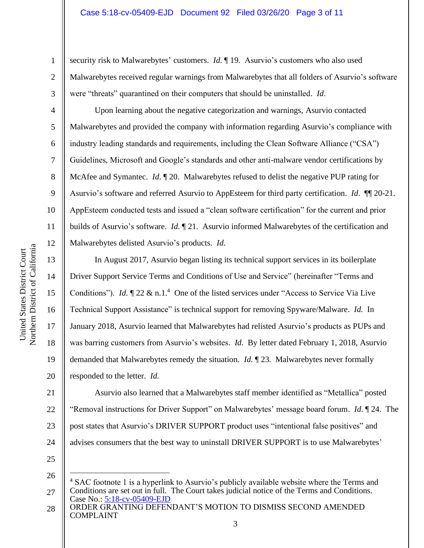security risk to Malwarebytes' customers. *Id*. ¶ 19. Asurvio's customers who also used Malwarebytes received regular warnings from Malwarebytes that all folders of Asurvio's software were "threats" quarantined on their computers that should be uninstalled. *Id*.

Upon learning about the negative categorization and warnings, Asurvio contacted Malwarebytes and provided the company with information regarding Asurvio's compliance with industry leading standards and requirements, including the Clean Software Alliance ("CSA") Guidelines, Microsoft and Google's standards and other anti-malware vendor certifications by McAfee and Symantec. *Id*. ¶ 20. Malwarebytes refused to delist the negative PUP rating for Asurvio's software and referred Asurvio to AppEsteem for third party certification. *Id*. ¶¶ 20-21. AppEsteem conducted tests and issued a "clean software certification" for the current and prior builds of Asurvio's software. *Id*. ¶ 21. Asurvio informed Malwarebytes of the certification and Malwarebytes delisted Asurvio's products. *Id*.

In August 2017, Asurvio began listing its technical support services in its boilerplate Driver Support Service Terms and Conditions of Use and Service" (hereinafter "Terms and Conditions"). *Id.*  $\P$  22 & n.1.<sup>4</sup> One of the listed services under "Access to Service Via Live Technical Support Assistance" is technical support for removing Spyware/Malware. *Id*. In January 2018, Asurvio learned that Malwarebytes had relisted Asurvio's products as PUPs and was barring customers from Asurvio's websites. *Id*. By letter dated February 1, 2018, Asurvio demanded that Malwarebytes remedy the situation. *Id*. ¶ 23. Malwarebytes never formally responded to the letter. *Id*.

1

2

3

4

5

6

7

8

9

10

11

12

13

14

Asurvio also learned that a Malwarebytes staff member identified as "Metallica" posted "Removal instructions for Driver Support" on Malwarebytes' message board forum. *Id*. ¶ 24. The post states that Asurvio's DRIVER SUPPORT product uses "intentional false positives" and advises consumers that the best way to uninstall DRIVER SUPPORT is to use Malwarebytes'

25

22

23

Case No.: 5:18-cv-05409-EJD 26 27 <sup>4</sup> SAC footnote 1 is a hyperlink to Asurvio's publicly available website where the Terms and Conditions are set out in full. The Court takes judicial notice of the Terms and Conditions.

ORDER GRANTING DEFENDANT'S MOTION TO DISMISS SECOND AMENDED COMPLAINT 28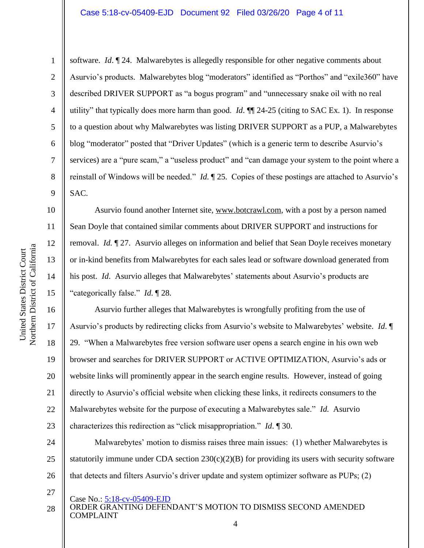#### Case 5:18-cv-05409-EJD Document 92 Filed 03/26/20 Page 4 of 11

software. *Id*. ¶ 24. Malwarebytes is allegedly responsible for other negative comments about Asurvio's products. Malwarebytes blog "moderators" identified as "Porthos" and "exile360" have described DRIVER SUPPORT as "a bogus program" and "unnecessary snake oil with no real utility" that typically does more harm than good. *Id*. ¶¶ 24-25 (citing to SAC Ex. 1). In response to a question about why Malwarebytes was listing DRIVER SUPPORT as a PUP, a Malwarebytes blog "moderator" posted that "Driver Updates" (which is a generic term to describe Asurvio's services) are a "pure scam," a "useless product" and "can damage your system to the point where a reinstall of Windows will be needed." *Id*. ¶ 25. Copies of these postings are attached to Asurvio's SAC.

Asurvio found another Internet site, www.botcrawl.com, with a post by a person named Sean Doyle that contained similar comments about DRIVER SUPPORT and instructions for removal. *Id*. ¶ 27. Asurvio alleges on information and belief that Sean Doyle receives monetary or in-kind benefits from Malwarebytes for each sales lead or software download generated from his post. *Id*. Asurvio alleges that Malwarebytes' statements about Asurvio's products are "categorically false." *Id*. ¶ 28.

Asurvio further alleges that Malwarebytes is wrongfully profiting from the use of Asurvio's products by redirecting clicks from Asurvio's website to Malwarebytes' website. *Id*. ¶ 29. "When a Malwarebytes free version software user opens a search engine in his own web browser and searches for DRIVER SUPPORT or ACTIVE OPTIMIZATION, Asurvio's ads or website links will prominently appear in the search engine results. However, instead of going directly to Asurvio's official website when clicking these links, it redirects consumers to the Malwarebytes website for the purpose of executing a Malwarebytes sale." *Id*. Asurvio characterizes this redirection as "click misappropriation." *Id*. ¶ 30.

24 25 26 Malwarebytes' motion to dismiss raises three main issues: (1) whether Malwarebytes is statutorily immune under CDA section  $230(c)(2)(B)$  for providing its users with security software that detects and filters Asurvio's driver update and system optimizer software as PUPs; (2)

- Case No.: 5:18-cv-05409-EJD
- ORDER GRANTING DEFENDANT'S MOTION TO DISMISS SECOND AMENDED COMPLAINT 4 28

1

2

3

4

5

6

7

8

9

10

11

12

13

14

15

16

17

18

19

20

21

22

23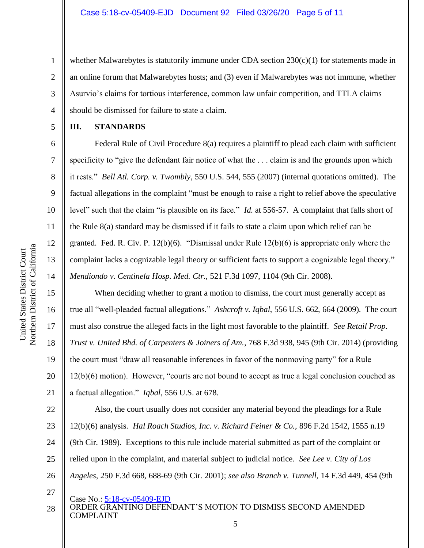whether Malwarebytes is statutorily immune under CDA section 230(c)(1) for statements made in an online forum that Malwarebytes hosts; and (3) even if Malwarebytes was not immune, whether Asurvio's claims for tortious interference, common law unfair competition, and TTLA claims should be dismissed for failure to state a claim.

1

2

3

4

5

6

7

8

9

10

11

12

13

14

15

16

17

18

19

20

21

#### **III. STANDARDS**

Federal Rule of Civil Procedure 8(a) requires a plaintiff to plead each claim with sufficient specificity to "give the defendant fair notice of what the . . . claim is and the grounds upon which it rests." *Bell Atl. Corp. v. Twombly*, 550 U.S. 544, 555 (2007) (internal quotations omitted). The factual allegations in the complaint "must be enough to raise a right to relief above the speculative level" such that the claim "is plausible on its face." *Id*. at 556-57. A complaint that falls short of the Rule 8(a) standard may be dismissed if it fails to state a claim upon which relief can be granted. Fed. R. Civ. P. 12(b)(6). "Dismissal under Rule 12(b)(6) is appropriate only where the complaint lacks a cognizable legal theory or sufficient facts to support a cognizable legal theory." *Mendiondo v. Centinela Hosp. Med. Ctr.*, 521 F.3d 1097, 1104 (9th Cir. 2008).

When deciding whether to grant a motion to dismiss, the court must generally accept as true all "well-pleaded factual allegations." *Ashcroft v. Iqbal*, 556 U.S. 662, 664 (2009). The court must also construe the alleged facts in the light most favorable to the plaintiff. *See Retail Prop. Trust v. United Bhd. of Carpenters & Joiners of Am.*, 768 F.3d 938, 945 (9th Cir. 2014) (providing the court must "draw all reasonable inferences in favor of the nonmoving party" for a Rule 12(b)(6) motion). However, "courts are not bound to accept as true a legal conclusion couched as a factual allegation." *Iqbal*, 556 U.S. at 678.

22 23 24 25 26 Also, the court usually does not consider any material beyond the pleadings for a Rule 12(b)(6) analysis. *Hal Roach Studios, Inc. v. Richard Feiner & Co.*, 896 F.2d 1542, 1555 n.19 (9th Cir. 1989). Exceptions to this rule include material submitted as part of the complaint or relied upon in the complaint, and material subject to judicial notice. *See Lee v. City of Los Angeles*, 250 F.3d 668, 688-69 (9th Cir. 2001); *see also Branch v. Tunnell*, 14 F.3d 449, 454 (9th

- 
- 28

27

Case No.: 5:18-cv-05409-EJD ORDER GRANTING DEFENDANT'S MOTION TO DISMISS SECOND AMENDED COMPLAINT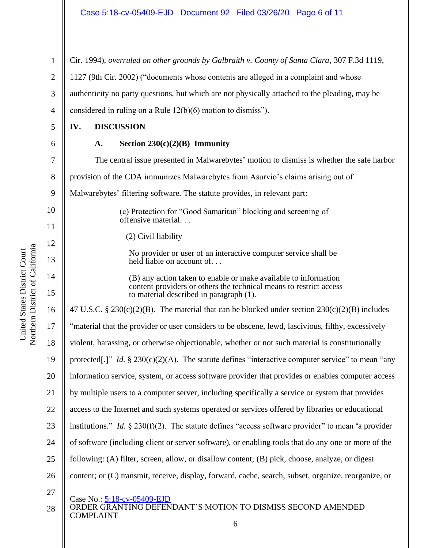Cir. 1994), *overruled on other grounds by Galbraith v. County of Santa Clara*, 307 F.3d 1119,

1127 (9th Cir. 2002) ("documents whose contents are alleged in a complaint and whose

authenticity no party questions, but which are not physically attached to the pleading, may be

considered in ruling on a Rule 12(b)(6) motion to dismiss").

- **IV. DISCUSSION**
- 

1

2

3

4

5

6

# **A. Section 230(c)(2)(B) Immunity**

Case No.: 5:18-cv-05409-EJD ORDER GRANTING DEFENDANT'S MOTION TO DISMISS SECOND AMENDED COMPLAINT 7 8 9 10 11 12 13 14 15 16 17 18 19 20 21 22 23 24 25 26 27 28 The central issue presented in Malwarebytes' motion to dismiss is whether the safe harbor provision of the CDA immunizes Malwarebytes from Asurvio's claims arising out of Malwarebytes' filtering software. The statute provides, in relevant part: (c) Protection for "Good Samaritan" blocking and screening of offensive material. . . (2) Civil liability No provider or user of an interactive computer service shall be held liable on account of... (B) any action taken to enable or make available to information content providers or others the technical means to restrict access to material described in paragraph (1). 47 U.S.C. § 230(c)(2)(B). The material that can be blocked under section  $230(c)(2)(B)$  includes "material that the provider or user considers to be obscene, lewd, lascivious, filthy, excessively violent, harassing, or otherwise objectionable, whether or not such material is constitutionally protected[.]" *Id.*  $\S 230(c)(2)(A)$ . The statute defines "interactive computer service" to mean "any information service, system, or access software provider that provides or enables computer access by multiple users to a computer server, including specifically a service or system that provides access to the Internet and such systems operated or services offered by libraries or educational institutions." *Id.* § 230(f)(2). The statute defines "access software provider" to mean "a provider of software (including client or server software), or enabling tools that do any one or more of the following: (A) filter, screen, allow, or disallow content; (B) pick, choose, analyze, or digest content; or (C) transmit, receive, display, forward, cache, search, subset, organize, reorganize, or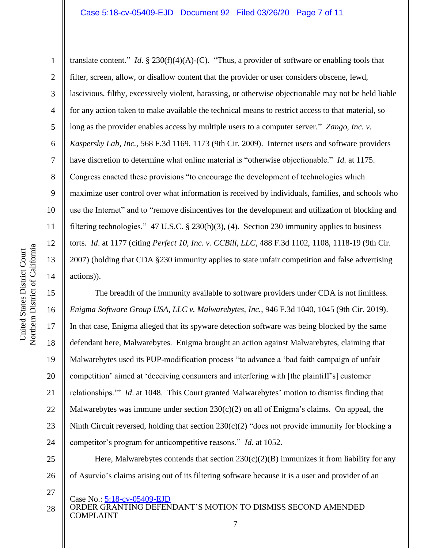1 2 3 4 5 6 7 8 9 10 11 12 13 14 translate content." *Id*. § 230(f)(4)(A)-(C). "Thus, a provider of software or enabling tools that filter, screen, allow, or disallow content that the provider or user considers obscene, lewd, lascivious, filthy, excessively violent, harassing, or otherwise objectionable may not be held liable for any action taken to make available the technical means to restrict access to that material, so long as the provider enables access by multiple users to a computer server." *Zango, Inc. v. Kaspersky Lab, Inc.*, 568 F.3d 1169, 1173 (9th Cir. 2009). Internet users and software providers have discretion to determine what online material is "otherwise objectionable." *Id*. at 1175. Congress enacted these provisions "to encourage the development of technologies which maximize user control over what information is received by individuals, families, and schools who use the Internet" and to "remove disincentives for the development and utilization of blocking and filtering technologies." 47 U.S.C. § 230(b)(3), (4). Section 230 immunity applies to business torts. *Id*. at 1177 (citing *Perfect 10, Inc. v. CCBill, LLC*, 488 F.3d 1102, 1108, 1118-19 (9th Cir. 2007) (holding that CDA §230 immunity applies to state unfair competition and false advertising actions)).

15 16 17 18 19 20 21 22 23 24 The breadth of the immunity available to software providers under CDA is not limitless. *Enigma Software Group USA, LLC v. Malwarebytes, Inc.*, 946 F.3d 1040, 1045 (9th Cir. 2019). In that case, Enigma alleged that its spyware detection software was being blocked by the same defendant here, Malwarebytes. Enigma brought an action against Malwarebytes, claiming that Malwarebytes used its PUP-modification process "to advance a 'bad faith campaign of unfair competition' aimed at 'deceiving consumers and interfering with [the plaintiff's] customer relationships.'" *Id*. at 1048. This Court granted Malwarebytes' motion to dismiss finding that Malwarebytes was immune under section  $230(c)(2)$  on all of Enigma's claims. On appeal, the Ninth Circuit reversed, holding that section 230(c)(2) "does not provide immunity for blocking a competitor's program for anticompetitive reasons." *Id*. at 1052.

26 Here, Malwarebytes contends that section  $230(c)(2)(B)$  immunizes it from liability for any of Asurvio's claims arising out of its filtering software because it is a user and provider of an

- Case No.: 5:18-cv-05409-EJD
- ORDER GRANTING DEFENDANT'S MOTION TO DISMISS SECOND AMENDED COMPLAINT 28

25

27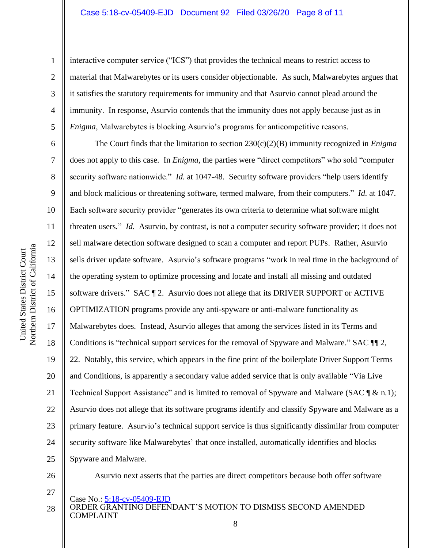#### Case 5:18-cv-05409-EJD Document 92 Filed 03/26/20 Page 8 of 11

1

2

3

4

5

interactive computer service ("ICS") that provides the technical means to restrict access to material that Malwarebytes or its users consider objectionable. As such, Malwarebytes argues that it satisfies the statutory requirements for immunity and that Asurvio cannot plead around the immunity. In response, Asurvio contends that the immunity does not apply because just as in *Enigma*, Malwarebytes is blocking Asurvio's programs for anticompetitive reasons.

6 7 8 9 10 11 12 13 14 15 16 17 18 19 20 21 22 23 24 25 The Court finds that the limitation to section 230(c)(2)(B) immunity recognized in *Enigma* does not apply to this case. In *Enigma*, the parties were "direct competitors" who sold "computer security software nationwide." *Id.* at 1047-48. Security software providers "help users identify and block malicious or threatening software, termed malware, from their computers." *Id*. at 1047. Each software security provider "generates its own criteria to determine what software might threaten users." *Id*. Asurvio, by contrast, is not a computer security software provider; it does not sell malware detection software designed to scan a computer and report PUPs. Rather, Asurvio sells driver update software. Asurvio's software programs "work in real time in the background of the operating system to optimize processing and locate and install all missing and outdated software drivers." SAC ¶ 2. Asurvio does not allege that its DRIVER SUPPORT or ACTIVE OPTIMIZATION programs provide any anti-spyware or anti-malware functionality as Malwarebytes does. Instead, Asurvio alleges that among the services listed in its Terms and Conditions is "technical support services for the removal of Spyware and Malware." SAC ¶¶ 2, 22. Notably, this service, which appears in the fine print of the boilerplate Driver Support Terms and Conditions, is apparently a secondary value added service that is only available "Via Live Technical Support Assistance" and is limited to removal of Spyware and Malware (SAC  $\mathcal{T} \& n, 1$ ); Asurvio does not allege that its software programs identify and classify Spyware and Malware as a primary feature. Asurvio's technical support service is thus significantly dissimilar from computer security software like Malwarebytes' that once installed, automatically identifies and blocks Spyware and Malware.

26 27 Asurvio next asserts that the parties are direct competitors because both offer software

Case No.: 5:18-cv-05409-EJD

ORDER GRANTING DEFENDANT'S MOTION TO DISMISS SECOND AMENDED COMPLAINT 28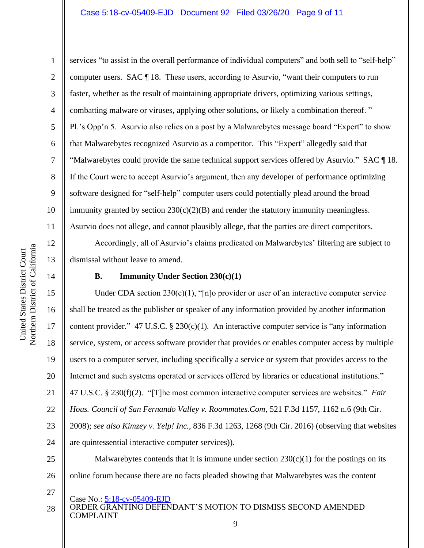#### Case 5:18-cv-05409-EJD Document 92 Filed 03/26/20 Page 9 of 11

Northern District of California Northern District of California United States District Court United States District Court

12

13

14

15

16

17

18

19

20

21

22

23

24

25

26

27

1

2 3 4 5 6 7 8 9 10 11 services "to assist in the overall performance of individual computers" and both sell to "self-help" computer users. SAC ¶ 18. These users, according to Asurvio, "want their computers to run faster, whether as the result of maintaining appropriate drivers, optimizing various settings, combatting malware or viruses, applying other solutions, or likely a combination thereof. " Pl.'s Opp'n 5. Asurvio also relies on a post by a Malwarebytes message board "Expert" to show that Malwarebytes recognized Asurvio as a competitor. This "Expert" allegedly said that "Malwarebytes could provide the same technical support services offered by Asurvio." SAC ¶ 18. If the Court were to accept Asurvio's argument, then any developer of performance optimizing software designed for "self-help" computer users could potentially plead around the broad immunity granted by section  $230(c)(2)(B)$  and render the statutory immunity meaningless. Asurvio does not allege, and cannot plausibly allege, that the parties are direct competitors.

Accordingly, all of Asurvio's claims predicated on Malwarebytes' filtering are subject to dismissal without leave to amend.

### **B. Immunity Under Section 230(c)(1)**

Under CDA section  $230(c)(1)$ , "[n]o provider or user of an interactive computer service shall be treated as the publisher or speaker of any information provided by another information content provider." 47 U.S.C.  $\S 230(c)(1)$ . An interactive computer service is "any information service, system, or access software provider that provides or enables computer access by multiple users to a computer server, including specifically a service or system that provides access to the Internet and such systems operated or services offered by libraries or educational institutions." 47 U.S.C. § 230(f)(2). "[T]he most common interactive computer services are websites." *Fair Hous. Council of San Fernando Valley v. Roommates.Com*, 521 F.3d 1157, 1162 n.6 (9th Cir. 2008); *see also Kimzey v. Yelp! Inc.*, 836 F.3d 1263, 1268 (9th Cir. 2016) (observing that websites are quintessential interactive computer services)).

Malwarebytes contends that it is immune under section  $230(c)(1)$  for the postings on its online forum because there are no facts pleaded showing that Malwarebytes was the content

- Case No.: 5:18-cv-05409-EJD
- ORDER GRANTING DEFENDANT'S MOTION TO DISMISS SECOND AMENDED COMPLAINT 28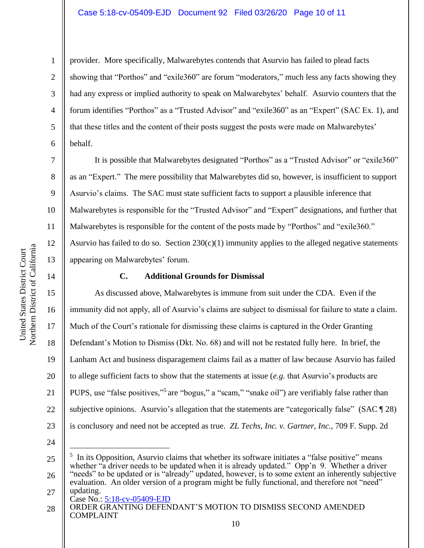#### Case 5:18-cv-05409-EJD Document 92 Filed 03/26/20 Page 10 of 11

9 10 11

1

2

3

4

5

6

7

8

12

13

14

15

16

17

18

19

20

21

22

23

provider. More specifically, Malwarebytes contends that Asurvio has failed to plead facts showing that "Porthos" and "exile360" are forum "moderators," much less any facts showing they had any express or implied authority to speak on Malwarebytes' behalf. Asurvio counters that the forum identifies "Porthos" as a "Trusted Advisor" and "exile360" as an "Expert" (SAC Ex. 1), and that these titles and the content of their posts suggest the posts were made on Malwarebytes' behalf.

It is possible that Malwarebytes designated "Porthos" as a "Trusted Advisor" or "exile360" as an "Expert." The mere possibility that Malwarebytes did so, however, is insufficient to support Asurvio's claims. The SAC must state sufficient facts to support a plausible inference that Malwarebytes is responsible for the "Trusted Advisor" and "Expert" designations, and further that Malwarebytes is responsible for the content of the posts made by "Porthos" and "exile360." Asurvio has failed to do so. Section  $230(c)(1)$  immunity applies to the alleged negative statements appearing on Malwarebytes' forum.

#### **C. Additional Grounds for Dismissal**

As discussed above, Malwarebytes is immune from suit under the CDA. Even if the immunity did not apply, all of Asurvio's claims are subject to dismissal for failure to state a claim. Much of the Court's rationale for dismissing these claims is captured in the Order Granting Defendant's Motion to Dismiss (Dkt. No. 68) and will not be restated fully here. In brief, the Lanham Act and business disparagement claims fail as a matter of law because Asurvio has failed to allege sufficient facts to show that the statements at issue (*e.g.* that Asurvio's products are PUPS, use "false positives,"<sup>5</sup> are "bogus," a "scam," "snake oil") are verifiably false rather than subjective opinions. Asurvio's allegation that the statements are "categorically false" (SAC [28) is conclusory and need not be accepted as true. *ZL Techs, Inc. v. Gartner, Inc.*, 709 F. Supp. 2d

24

Case No.: 5:18-cv-05409-EJD 27 evaluation. An older version of a program might be fully functional, and therefore not "need" updating.

ORDER GRANTING DEFENDANT'S MOTION TO DISMISS SECOND AMENDED COMPLAINT 28

<sup>25</sup> 26 5 In its Opposition, Asurvio claims that whether its software initiates a "false positive" means whether "a driver needs to be updated when it is already updated." Opp'n 9. Whether a driver "needs" to be updated or is "already" updated, however, is to some extent an inherently subjective